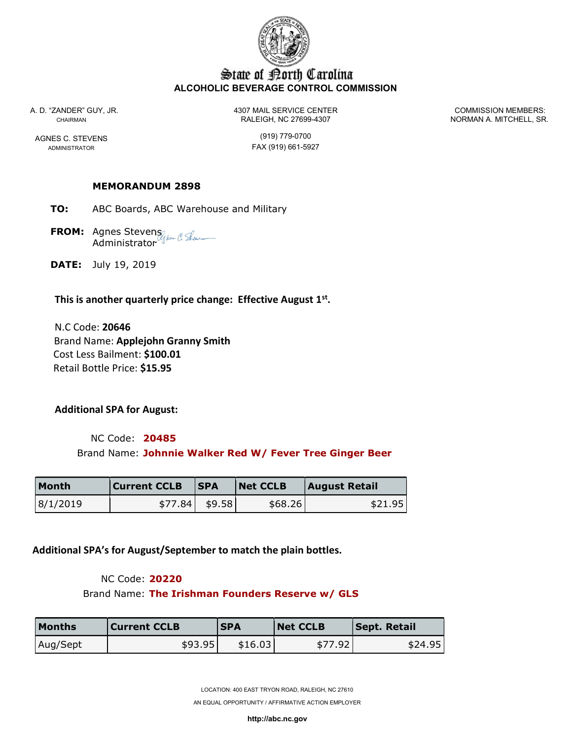

# State of Borth Carolina ALCOHOLIC BEVERAGE CONTROL COMMISSION

A. D. "ZANDER" GUY, JR. 4307 MAIL SERVICE CENTER COMMISSION MEMBERS: CHAIRMAN RALEIGH, NC 27699-4307 NORMAN A. MITCHELL, SR.

AGNES C. STEVENS (919) 779-0700 ADMINISTRATOR **FAX** (919) 661-5927

## MEMORANDUM 2898

- TO: ABC Boards, ABC Warehouse and Military
- **FROM:** Agnes Stevens Administrator
- DATE: July 19, 2019

## This is another quarterly price change: Effective August  $1<sup>st</sup>$ .

 N.C Code: 20646 Brand Name: Applejohn Granny Smith Cost Less Bailment: \$100.01 Retail Bottle Price: \$15.95

Additional SPA for August:

 NC Code: 20485 Brand Name: Johnnie Walker Red W/ Fever Tree Ginger Beer

| Month    | Current CCLB | <b>ISPA</b> | Net CCLB | <b>August Retail</b> |
|----------|--------------|-------------|----------|----------------------|
| 8/1/2019 | \$77.84      | \$9.58      | \$68.26  | \$21.95              |

Additional SPA's for August/September to match the plain bottles.

### NC Code: 20220

Brand Name: The Irishman Founders Reserve w/ GLS

| <b>Months</b> | <b>Current CCLB</b> | <b>SPA</b> | <b>Net CCLB</b> | <b>Sept. Retail</b> |
|---------------|---------------------|------------|-----------------|---------------------|
| Aug/Sept      | \$93.95             | \$16.03    | \$77.92         | \$24.95             |

LOCATION: 400 EAST TRYON ROAD, RALEIGH, NC 27610

AN EQUAL OPPORTUNITY / AFFIRMATIVE ACTION EMPLOYER

http://abc.nc.gov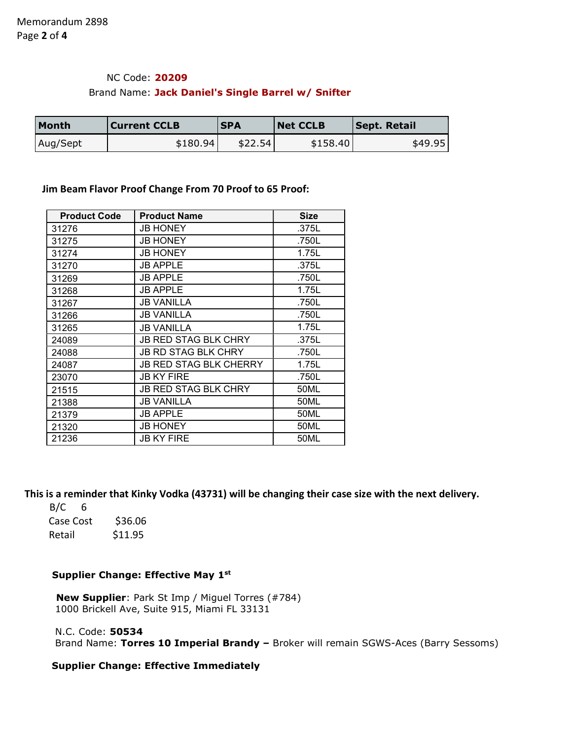# NC Code: 20209

#### Brand Name: Jack Daniel's Single Barrel w/ Snifter

| <b>Month</b> | <b>Current CCLB</b> | <b>SPA</b> | <b>Net CCLB</b> | <b>Sept. Retail</b> |
|--------------|---------------------|------------|-----------------|---------------------|
| Aug/Sept     | \$180.94            | \$22.54    | \$158.40        | \$49.95             |

#### Jim Beam Flavor Proof Change From 70 Proof to 65 Proof:

| <b>Product Code</b> | <b>Product Name</b>           | <b>Size</b> |
|---------------------|-------------------------------|-------------|
| 31276               | <b>JB HONEY</b>               | .375L       |
| 31275               | <b>JB HONEY</b>               | .750L       |
| 31274               | <b>JB HONEY</b>               | 1.75L       |
| 31270               | <b>JB APPLE</b>               | .375L       |
| 31269               | <b>JB APPLE</b>               | .750L       |
| 31268               | <b>JB APPLE</b>               | 1.75L       |
| 31267               | <b>JB VANILLA</b>             | .750L       |
| 31266               | <b>JB VANILLA</b>             | .750L       |
| 31265               | <b>JB VANILLA</b>             | 1.75L       |
| 24089               | <b>JB RED STAG BLK CHRY</b>   | .375L       |
| 24088               | <b>JB RD STAG BLK CHRY</b>    | .750L       |
| 24087               | <b>JB RED STAG BLK CHERRY</b> | 1.75L       |
| 23070               | <b>JB KY FIRE</b>             | .750L       |
| 21515               | <b>JB RED STAG BLK CHRY</b>   | 50ML        |
| 21388               | <b>JB VANILLA</b>             | 50ML        |
| 21379               | <b>JB APPLE</b>               | 50ML        |
| 21320               | <b>JB HONEY</b>               | 50ML        |
| 21236               | <b>JB KY FIRE</b>             | 50ML        |

This is a reminder that Kinky Vodka (43731) will be changing their case size with the next delivery.

 $B/C$  6 Case Cost \$36.06 Retail \$11.95

### Supplier Change: Effective May 1<sup>st</sup>

 New Supplier: Park St Imp / Miguel Torres (#784) 1000 Brickell Ave, Suite 915, Miami FL 33131

N.C. Code: 50534

Brand Name: Torres 10 Imperial Brandy - Broker will remain SGWS-Aces (Barry Sessoms)

### Supplier Change: Effective Immediately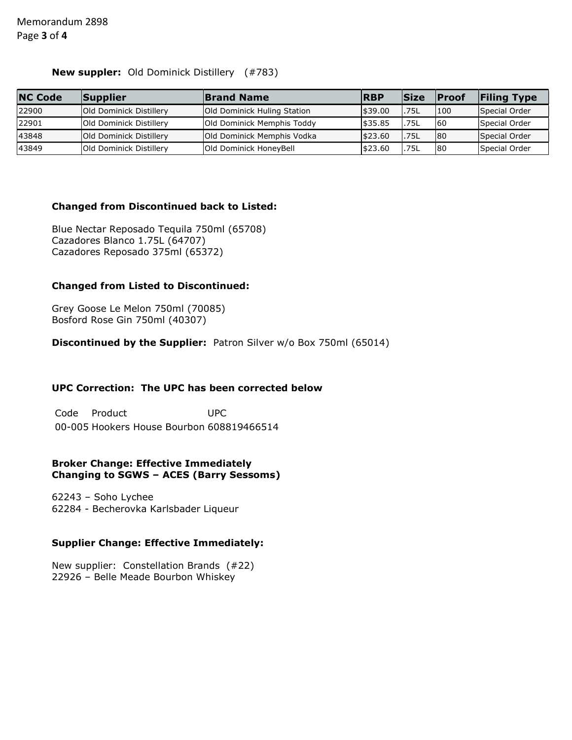### New suppler: Old Dominick Distillery (#783)

| <b>NC Code</b> | Supplier                       | <b>Brand Name</b>           | <b>RBP</b> | <b>Size</b> | <b>Proof</b> | <b>Filing Type</b> |
|----------------|--------------------------------|-----------------------------|------------|-------------|--------------|--------------------|
| 22900          | <b>Old Dominick Distillery</b> | Old Dominick Huling Station | \$39.00    | .75L        | 100          | Special Order      |
| 22901          | Old Dominick Distillery        | Old Dominick Memphis Toddy  | \$35.85    | .75L        | 60           | Special Order      |
| 43848          | Old Dominick Distillery        | Old Dominick Memphis Vodka  | \$23.60    | .75L        | 80           | Special Order      |
| 43849          | Old Dominick Distillery        | Old Dominick HoneyBell      | \$23.60    | .75L        | 80           | Special Order      |

### Changed from Discontinued back to Listed:

Blue Nectar Reposado Tequila 750ml (65708) Cazadores Blanco 1.75L (64707) Cazadores Reposado 375ml (65372)

## Changed from Listed to Discontinued:

Grey Goose Le Melon 750ml (70085) Bosford Rose Gin 750ml (40307)

Discontinued by the Supplier: Patron Silver w/o Box 750ml (65014)

## UPC Correction: The UPC has been corrected below

Code Product UPC 00-005 Hookers House Bourbon 608819466514

#### Broker Change: Effective Immediately Changing to SGWS – ACES (Barry Sessoms)

62243 – Soho Lychee 62284 - Becherovka Karlsbader Liqueur

### Supplier Change: Effective Immediately:

New supplier: Constellation Brands (#22) 22926 – Belle Meade Bourbon Whiskey